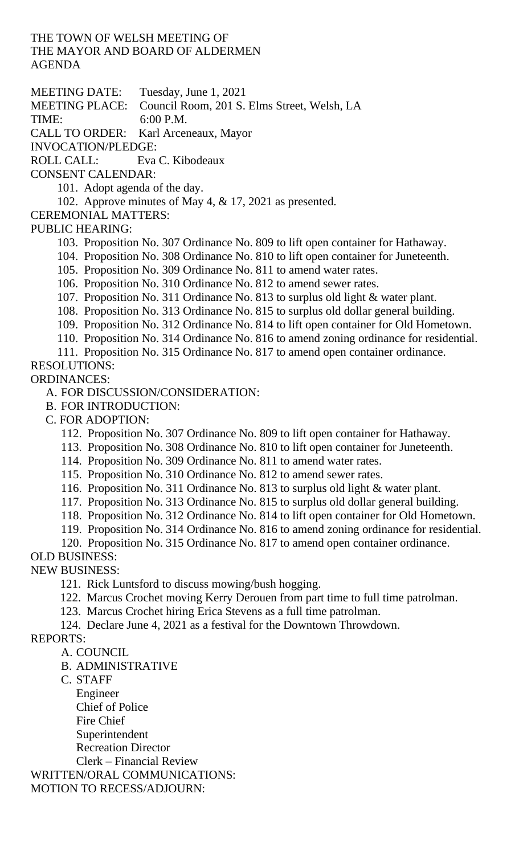THE TOWN OF WELSH MEETING OF THE MAYOR AND BOARD OF ALDERMEN AGENDA

MEETING DATE: Tuesday, June 1, 2021

MEETING PLACE: Council Room, 201 S. Elms Street, Welsh, LA

TIME: 6:00 P.M.

CALL TO ORDER: Karl Arceneaux, Mayor

INVOCATION/PLEDGE:

ROLL CALL: Eva C. Kibodeaux

CONSENT CALENDAR:

101. Adopt agenda of the day.

102. Approve minutes of May 4, & 17, 2021 as presented.

CEREMONIAL MATTERS:

PUBLIC HEARING:

103. Proposition No. 307 Ordinance No. 809 to lift open container for Hathaway.

104. Proposition No. 308 Ordinance No. 810 to lift open container for Juneteenth.

105. Proposition No. 309 Ordinance No. 811 to amend water rates.

106. Proposition No. 310 Ordinance No. 812 to amend sewer rates.

107. Proposition No. 311 Ordinance No. 813 to surplus old light & water plant.

108. Proposition No. 313 Ordinance No. 815 to surplus old dollar general building.

109. Proposition No. 312 Ordinance No. 814 to lift open container for Old Hometown.

110. Proposition No. 314 Ordinance No. 816 to amend zoning ordinance for residential.

111. Proposition No. 315 Ordinance No. 817 to amend open container ordinance.

## RESOLUTIONS: ORDINANCES:

A. FOR DISCUSSION/CONSIDERATION:

B. FOR INTRODUCTION:

C. FOR ADOPTION:

112. Proposition No. 307 Ordinance No. 809 to lift open container for Hathaway.

113. Proposition No. 308 Ordinance No. 810 to lift open container for Juneteenth.

114. Proposition No. 309 Ordinance No. 811 to amend water rates.

115. Proposition No. 310 Ordinance No. 812 to amend sewer rates.

116. Proposition No. 311 Ordinance No. 813 to surplus old light & water plant.

117. Proposition No. 313 Ordinance No. 815 to surplus old dollar general building.

118. Proposition No. 312 Ordinance No. 814 to lift open container for Old Hometown.

119. Proposition No. 314 Ordinance No. 816 to amend zoning ordinance for residential.

120. Proposition No. 315 Ordinance No. 817 to amend open container ordinance.

OLD BUSINESS:

NEW BUSINESS:

121. Rick Luntsford to discuss mowing/bush hogging.

122. Marcus Crochet moving Kerry Derouen from part time to full time patrolman.

123. Marcus Crochet hiring Erica Stevens as a full time patrolman.

124. Declare June 4, 2021 as a festival for the Downtown Throwdown.

REPORTS:

A. COUNCIL

B. ADMINISTRATIVE

C. STAFF

Engineer Chief of Police Fire Chief Superintendent Recreation Director Clerk – Financial Review

WRITTEN/ORAL COMMUNICATIONS: MOTION TO RECESS/ADJOURN: